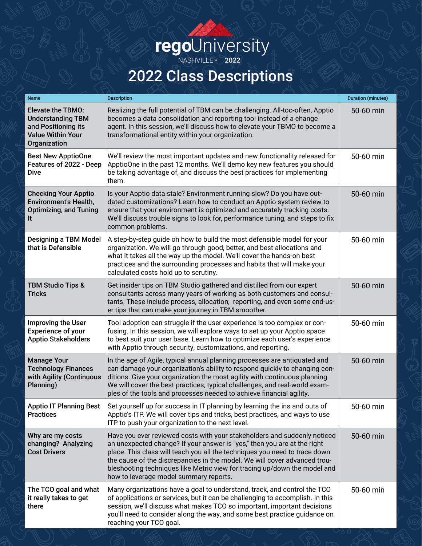## **rego**University

NASHVILLE · 2022

## 2022 Class Descriptions

| <b>Name</b>                                                                                                             | <b>Description</b>                                                                                                                                                                                                                                                                                                                                                                                                                     | <b>Duration (minutes)</b> |
|-------------------------------------------------------------------------------------------------------------------------|----------------------------------------------------------------------------------------------------------------------------------------------------------------------------------------------------------------------------------------------------------------------------------------------------------------------------------------------------------------------------------------------------------------------------------------|---------------------------|
| <b>Elevate the TBMO:</b><br><b>Understanding TBM</b><br>and Positioning its<br><b>Value Within Your</b><br>Organization | Realizing the full potential of TBM can be challenging. All-too-often, Apptio<br>becomes a data consolidation and reporting tool instead of a change<br>agent. In this session, we'll discuss how to elevate your TBMO to become a<br>transformational entity within your organization.                                                                                                                                                | 50-60 min                 |
| <b>Best New ApptioOne</b><br>Features of 2022 - Deep<br><b>Dive</b>                                                     | We'll review the most important updates and new functionality released for<br>ApptioOne in the past 12 months. We'll demo key new features you should<br>be taking advantage of, and discuss the best practices for implementing<br>them.                                                                                                                                                                                              | 50-60 min                 |
| <b>Checking Your Apptio</b><br><b>Environment's Health,</b><br><b>Optimizing, and Tuning</b><br>It                      | Is your Apptio data stale? Environment running slow? Do you have out-<br>dated customizations? Learn how to conduct an Apptio system review to<br>ensure that your environment is optimized and accurately tracking costs.<br>We'll discuss trouble signs to look for, performance tuning, and steps to fix<br>common problems.                                                                                                        | 50-60 min                 |
| <b>Designing a TBM Model</b><br>that is Defensible                                                                      | A step-by-step guide on how to build the most defensible model for your<br>organization. We will go through good, better, and best allocations and<br>what it takes all the way up the model. We'll cover the hands-on best<br>practices and the surrounding processes and habits that will make your<br>calculated costs hold up to scrutiny.                                                                                         | 50-60 min                 |
| <b>TBM Studio Tips &amp;</b><br><b>Tricks</b>                                                                           | Get insider tips on TBM Studio gathered and distilled from our expert<br>consultants across many years of working as both customers and consul-<br>tants. These include process, allocation, reporting, and even some end-us-<br>er tips that can make your journey in TBM smoother.                                                                                                                                                   | 50-60 min                 |
| Improving the User<br><b>Experience of your</b><br><b>Apptio Stakeholders</b>                                           | Tool adoption can struggle if the user experience is too complex or con-<br>fusing. In this session, we will explore ways to set up your Apptio space<br>to best suit your user base. Learn how to optimize each user's experience<br>with Apptio through security, customizations, and reporting.                                                                                                                                     | 50-60 min                 |
| <b>Manage Your</b><br><b>Technology Finances</b><br>with Agility (Continuous<br>Planning)                               | In the age of Agile, typical annual planning processes are antiquated and<br>can damage your organization's ability to respond quickly to changing con-<br>ditions. Give your organization the most agility with continuous planning.<br>We will cover the best practices, typical challenges, and real-world exam-<br>ples of the tools and processes needed to achieve financial agility.                                            | 50-60 min                 |
| <b>Apptio IT Planning Best</b><br><b>Practices</b>                                                                      | Set yourself up for success in IT planning by learning the ins and outs of<br>Apptio's ITP. We will cover tips and tricks, best practices, and ways to use<br>ITP to push your organization to the next level.                                                                                                                                                                                                                         | 50-60 min                 |
| Why are my costs<br>changing? Analyzing<br><b>Cost Drivers</b>                                                          | Have you ever reviewed costs with your stakeholders and suddenly noticed<br>an unexpected change? If your answer is "yes," then you are at the right<br>place. This class will teach you all the techniques you need to trace down<br>the cause of the discrepancies in the model. We will cover advanced trou-<br>bleshooting techniques like Metric view for tracing up/down the model and<br>how to leverage model summary reports. | 50-60 min                 |
| The TCO goal and what<br>it really takes to get<br>there                                                                | Many organizations have a goal to understand, track, and control the TCO<br>of applications or services, but it can be challenging to accomplish. In this<br>session, we'll discuss what makes TCO so important, important decisions<br>you'll need to consider along the way, and some best practice guidance on<br>reaching your TCO goal.                                                                                           | 50-60 min                 |